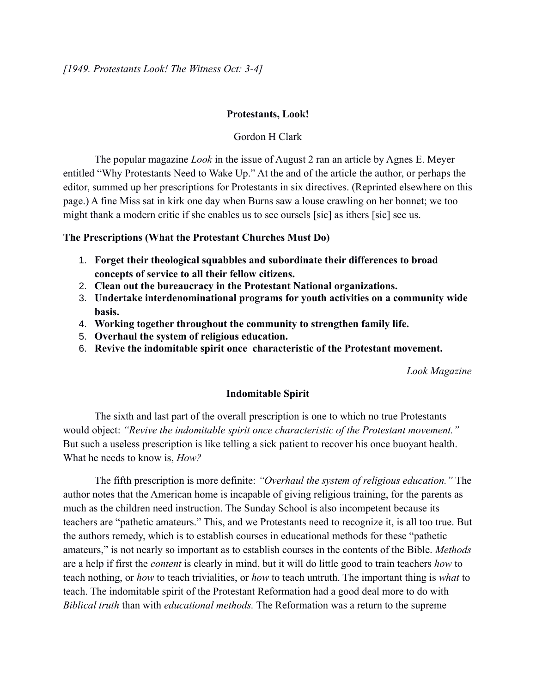## **Protestants, Look!**

## Gordon H Clark

The popular magazine *Look* in the issue of August 2 ran an article by Agnes E. Meyer entitled "Why Protestants Need to Wake Up." At the and of the article the author, or perhaps the editor, summed up her prescriptions for Protestants in six directives. (Reprinted elsewhere on this page.) A fine Miss sat in kirk one day when Burns saw a louse crawling on her bonnet; we too might thank a modern critic if she enables us to see oursels [sic] as ithers [sic] see us.

#### **The Prescriptions (What the Protestant Churches Must Do)**

- 1. **Forget their theological squabbles and subordinate their differences to broad concepts of service to all their fellow citizens.**
- 2. **Clean out the bureaucracy in the Protestant National organizations.**
- 3. **Undertake interdenominational programs for youth activities on a community wide basis.**
- 4. **Working together throughout the community to strengthen family life.**
- 5. **Overhaul the system of religious education.**
- 6. **Revive the indomitable spirit once characteristic of the Protestant movement.**

*Look Magazine*

#### **Indomitable Spirit**

The sixth and last part of the overall prescription is one to which no true Protestants would object: *"Revive the indomitable spirit once characteristic of the Protestant movement."* But such a useless prescription is like telling a sick patient to recover his once buoyant health. What he needs to know is, *How?*

The fifth prescription is more definite: *"Overhaul the system of religious education."* The author notes that the American home is incapable of giving religious training, for the parents as much as the children need instruction. The Sunday School is also incompetent because its teachers are "pathetic amateurs." This, and we Protestants need to recognize it, is all too true. But the authors remedy, which is to establish courses in educational methods for these "pathetic amateurs," is not nearly so important as to establish courses in the contents of the Bible. *Methods* are a help if first the *content* is clearly in mind, but it will do little good to train teachers *how* to teach nothing, or *how* to teach trivialities, or *how* to teach untruth. The important thing is *what* to teach. The indomitable spirit of the Protestant Reformation had a good deal more to do with *Biblical truth* than with *educational methods.* The Reformation was a return to the supreme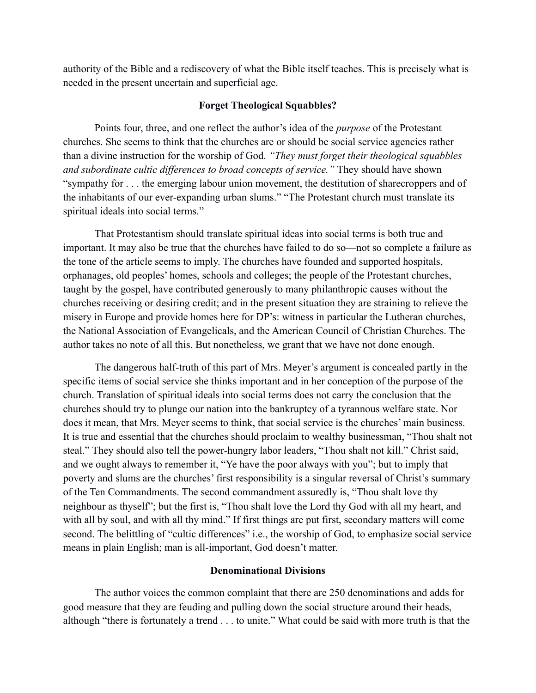authority of the Bible and a rediscovery of what the Bible itself teaches. This is precisely what is needed in the present uncertain and superficial age.

# **Forget Theological Squabbles?**

Points four, three, and one reflect the author's idea of the *purpose* of the Protestant churches. She seems to think that the churches are or should be social service agencies rather than a divine instruction for the worship of God. *"They must forget their theological squabbles and subordinate cultic differences to broad concepts of service."* They should have shown "sympathy for . . . the emerging labour union movement, the destitution of sharecroppers and of the inhabitants of our ever-expanding urban slums." "The Protestant church must translate its spiritual ideals into social terms."

That Protestantism should translate spiritual ideas into social terms is both true and important. It may also be true that the churches have failed to do so—not so complete a failure as the tone of the article seems to imply. The churches have founded and supported hospitals, orphanages, old peoples' homes, schools and colleges; the people of the Protestant churches, taught by the gospel, have contributed generously to many philanthropic causes without the churches receiving or desiring credit; and in the present situation they are straining to relieve the misery in Europe and provide homes here for DP's: witness in particular the Lutheran churches, the National Association of Evangelicals, and the American Council of Christian Churches. The author takes no note of all this. But nonetheless, we grant that we have not done enough.

The dangerous half-truth of this part of Mrs. Meyer's argument is concealed partly in the specific items of social service she thinks important and in her conception of the purpose of the church. Translation of spiritual ideals into social terms does not carry the conclusion that the churches should try to plunge our nation into the bankruptcy of a tyrannous welfare state. Nor does it mean, that Mrs. Meyer seems to think, that social service is the churches' main business. It is true and essential that the churches should proclaim to wealthy businessman, "Thou shalt not steal." They should also tell the power-hungry labor leaders, "Thou shalt not kill." Christ said, and we ought always to remember it, "Ye have the poor always with you"; but to imply that poverty and slums are the churches' first responsibility is a singular reversal of Christ's summary of the Ten Commandments. The second commandment assuredly is, "Thou shalt love thy neighbour as thyself"; but the first is, "Thou shalt love the Lord thy God with all my heart, and with all by soul, and with all thy mind." If first things are put first, secondary matters will come second. The belittling of "cultic differences" i.e., the worship of God, to emphasize social service means in plain English; man is all-important, God doesn't matter.

# **Denominational Divisions**

The author voices the common complaint that there are 250 denominations and adds for good measure that they are feuding and pulling down the social structure around their heads, although "there is fortunately a trend . . . to unite." What could be said with more truth is that the